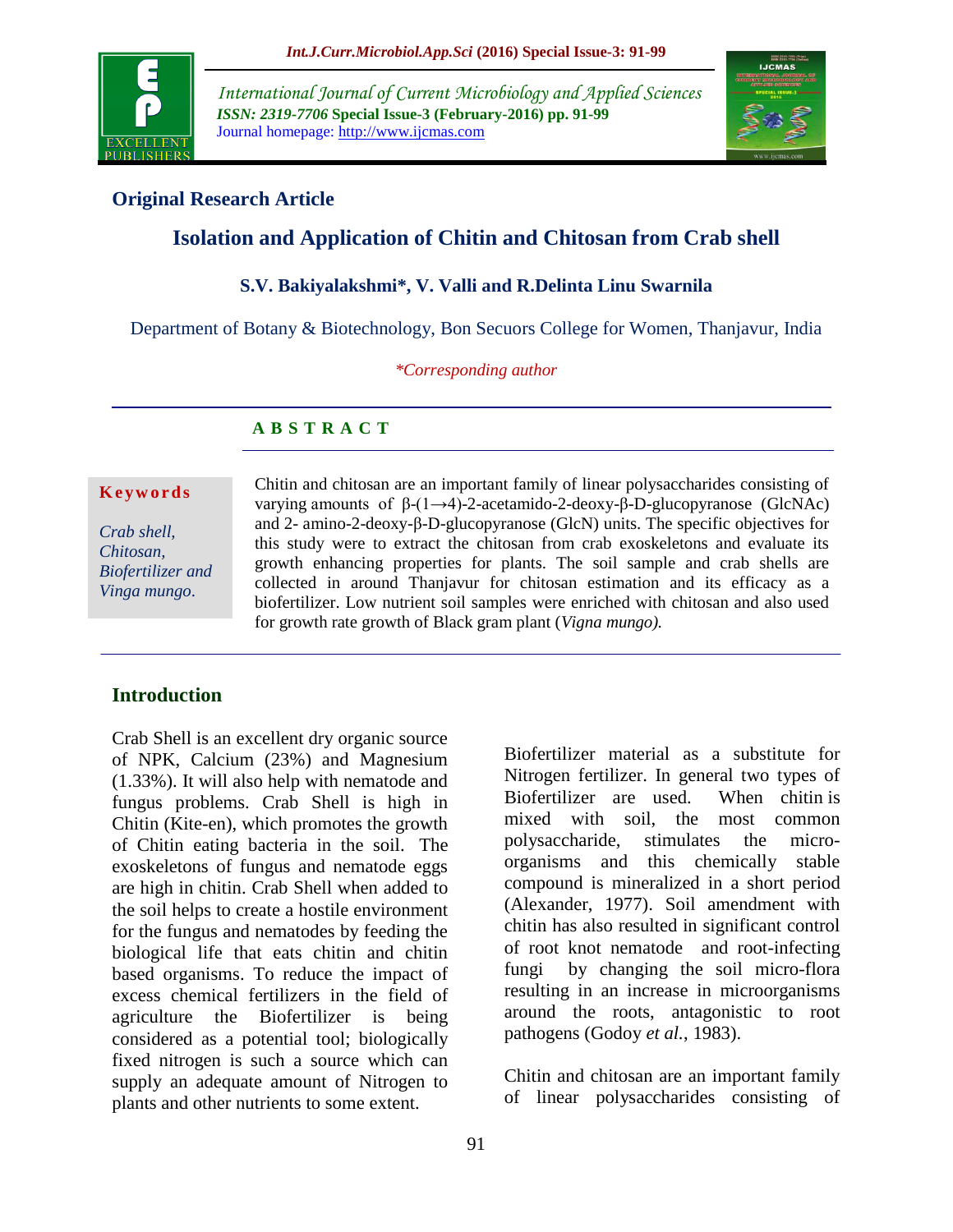

*International Journal of Current Microbiology and Applied Sciences ISSN: 2319-7706* **Special Issue-3 (February-2016) pp. 91-99** Journal homepage: http://www.ijcmas.com



# **Original Research Article**

# **Isolation and Application of Chitin and Chitosan from Crab shell**

# **S.V. Bakiyalakshmi\*, V. Valli and R.Delinta Linu Swarnila**

Department of Botany & Biotechnology, Bon Secuors College for Women, Thanjavur, India

*\*Corresponding author*

# **A B S T R A C T**

#### **K e y w o r d s**

*Crab shell, Chitosan, Biofertilizer and Vinga mungo*.

Chitin and chitosan are an important family of linear polysaccharides consisting of varying amounts of β-(1→4)-2-acetamido-2-deoxy-β-D-glucopyranose (GlcNAc) and 2- amino-2-deoxy-β-D-glucopyranose (GlcN) units. The specific objectives for this study were to extract the chitosan from crab exoskeletons and evaluate its growth enhancing properties for plants. The soil sample and crab shells are collected in around Thanjavur for chitosan estimation and its efficacy as a biofertilizer. Low nutrient soil samples were enriched with chitosan and also used for growth rate growth of Black gram plant (*Vigna mungo).*

## **Introduction**

Crab Shell is an excellent dry organic source of NPK, Calcium (23%) and Magnesium (1.33%). It will also help with nematode and fungus problems. Crab Shell is high in Chitin (Kite-en), which promotes the growth of Chitin eating bacteria in the soil. The exoskeletons of fungus and nematode eggs are high in chitin. Crab Shell when added to the soil helps to create a hostile environment for the fungus and nematodes by feeding the biological life that eats chitin and chitin based organisms. To reduce the impact of excess chemical fertilizers in the field of agriculture the Biofertilizer is being considered as a potential tool; biologically fixed nitrogen is such a source which can supply an adequate amount of Nitrogen to plants and other nutrients to some extent.

Biofertilizer material as a substitute for Nitrogen fertilizer. In general two types of Biofertilizer are used. When chitin is mixed with soil, the most common polysaccharide, stimulates the microorganisms and this chemically stable compound is mineralized in a short period (Alexander, 1977). Soil amendment with chitin has also resulted in significant control of root knot nematode and root-infecting fungi by changing the soil micro-flora resulting in an increase in microorganisms around the roots, antagonistic to root pathogens (Godoy *et al.*, 1983).

Chitin and chitosan are an important family of linear polysaccharides consisting of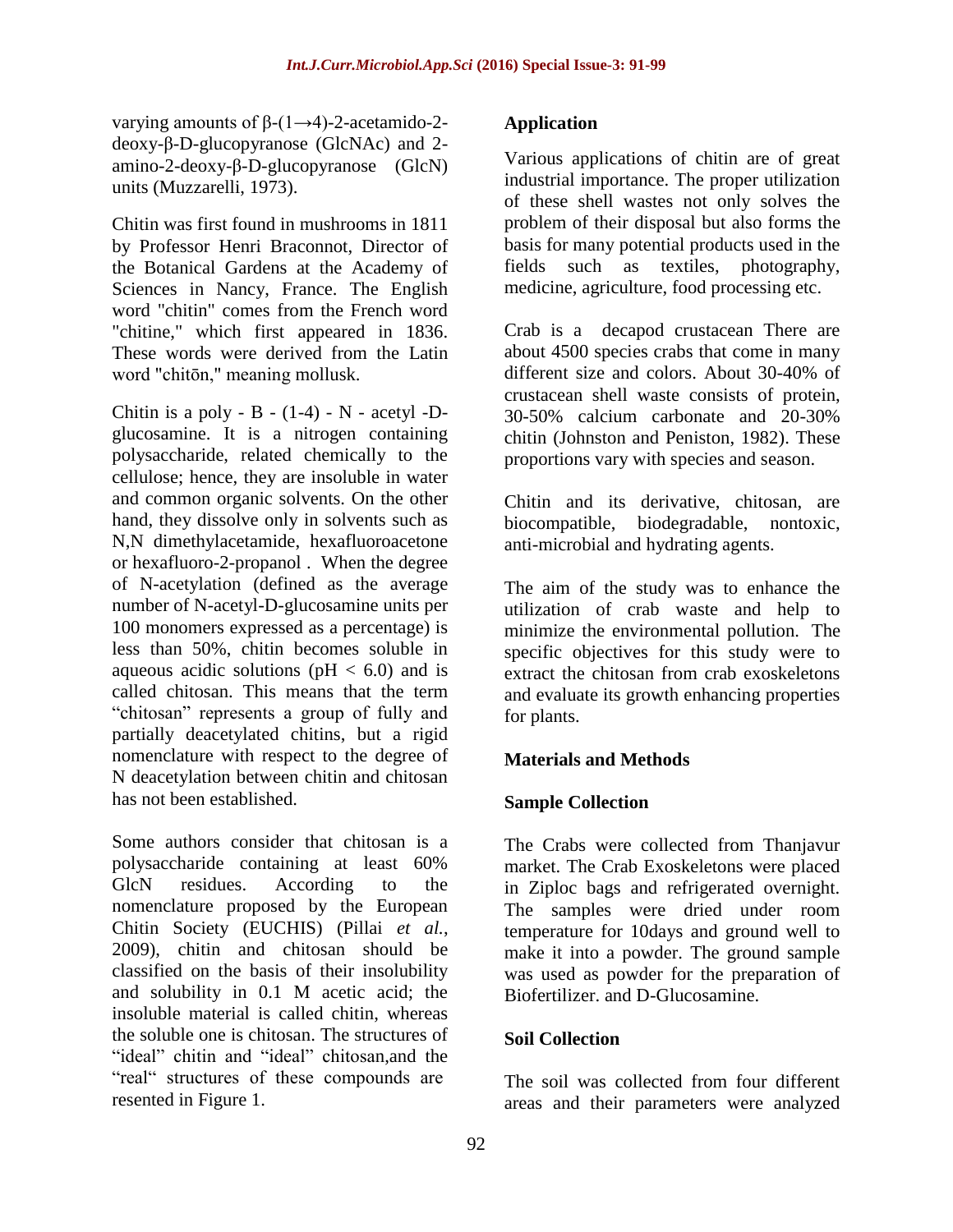varying amounts of  $\beta$ -(1→4)-2-acetamido-2deoxy-β-D-glucopyranose (GlcNAc) and 2 amino-2-deoxy-β-D-glucopyranose (GlcN) units (Muzzarelli, 1973).

Chitin was first found in mushrooms in 1811 by Professor Henri Braconnot, Director of the Botanical Gardens at the Academy of Sciences in Nancy, France. The English word "chitin" comes from the French word "chitine," which first appeared in 1836. These words were derived from the Latin word "chitōn," meaning mollusk.

Chitin is a poly -  $B - (1-4) - N -$  acetyl -Dglucosamine. It is a nitrogen containing polysaccharide, related chemically to the cellulose; hence, they are insoluble in water and common organic solvents. On the other hand, they dissolve only in solvents such as N,N dimethylacetamide, hexafluoroacetone or hexafluoro-2-propanol . When the degree of N-acetylation (defined as the average number of N-acetyl-D-glucosamine units per 100 monomers expressed as a percentage) is less than 50%, chitin becomes soluble in aqueous acidic solutions ( $pH < 6.0$ ) and is called chitosan. This means that the term "chitosan" represents a group of fully and partially deacetylated chitins, but a rigid nomenclature with respect to the degree of N deacetylation between chitin and chitosan has not been established.

Some authors consider that chitosan is a polysaccharide containing at least 60% GlcN residues. According to the nomenclature proposed by the European Chitin Society (EUCHIS) (Pillai *et al.*, 2009), chitin and chitosan should be classified on the basis of their insolubility and solubility in 0.1 M acetic acid; the insoluble material is called chitin, whereas the soluble one is chitosan. The structures of "ideal" chitin and "ideal" chitosan, and the "real" structures of these compounds are resented in Figure 1.

# **Application**

Various applications of chitin are of great industrial importance. The proper utilization of these shell wastes not only solves the problem of their disposal but also forms the basis for many potential products used in the fields such as textiles, photography, medicine, agriculture, food processing etc.

Crab is a decapod crustacean There are about 4500 species crabs that come in many different size and colors. About 30-40% of crustacean shell waste consists of protein, 30-50% calcium carbonate and 20-30% chitin (Johnston and Peniston, 1982). These proportions vary with species and season.

Chitin and its derivative, chitosan, are biocompatible, biodegradable, nontoxic, anti-microbial and hydrating agents.

The aim of the study was to enhance the utilization of crab waste and help to minimize the environmental pollution. The specific objectives for this study were to extract the chitosan from crab exoskeletons and evaluate its growth enhancing properties for plants.

## **Materials and Methods**

## **Sample Collection**

The Crabs were collected from Thanjavur market. The Crab Exoskeletons were placed in Ziploc bags and refrigerated overnight. The samples were dried under room temperature for 10days and ground well to make it into a powder. The ground sample was used as powder for the preparation of Biofertilizer. and D-Glucosamine.

## **Soil Collection**

The soil was collected from four different areas and their parameters were analyzed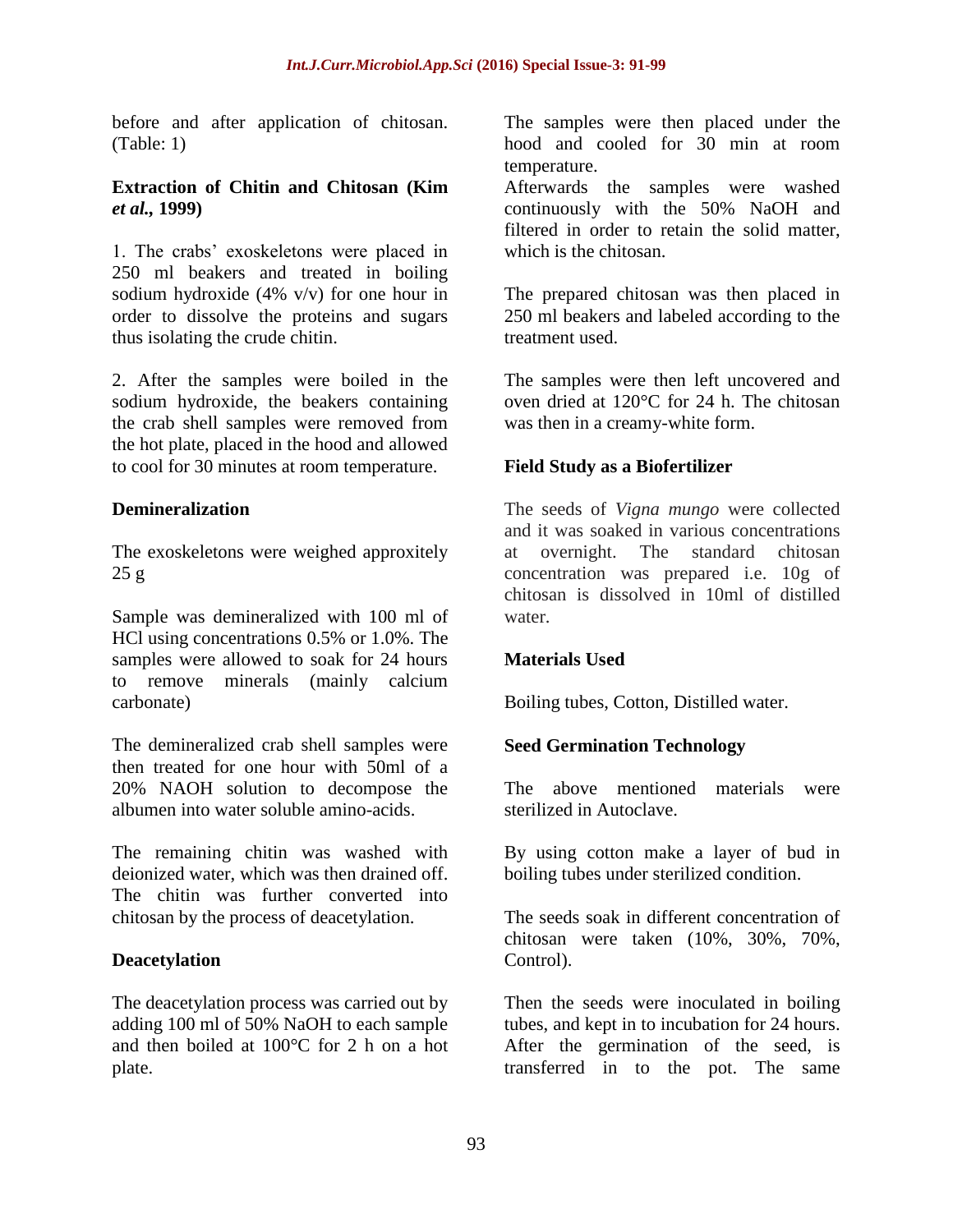before and after application of chitosan. (Table: 1)

#### **Extraction of Chitin and Chitosan (Kim**  *et al.,* **1999)**

1. The crabs' exoskeletons were placed in 250 ml beakers and treated in boiling sodium hydroxide (4% v/v) for one hour in order to dissolve the proteins and sugars thus isolating the crude chitin.

2. After the samples were boiled in the sodium hydroxide, the beakers containing the crab shell samples were removed from the hot plate, placed in the hood and allowed to cool for 30 minutes at room temperature.

## **Demineralization**

The exoskeletons were weighed approxitely  $25 g$ 

Sample was demineralized with 100 ml of HCl using concentrations 0.5% or 1.0%. The samples were allowed to soak for 24 hours to remove minerals (mainly calcium carbonate)

The demineralized crab shell samples were then treated for one hour with 50ml of a 20% NAOH solution to decompose the albumen into water soluble amino-acids.

The remaining chitin was washed with deionized water, which was then drained off. The chitin was further converted into chitosan by the process of deacetylation.

## **Deacetylation**

The deacetylation process was carried out by adding 100 ml of 50% NaOH to each sample and then boiled at 100°C for 2 h on a hot plate.

The samples were then placed under the hood and cooled for 30 min at room temperature.

Afterwards the samples were washed continuously with the 50% NaOH and filtered in order to retain the solid matter, which is the chitosan.

The prepared chitosan was then placed in 250 ml beakers and labeled according to the treatment used.

The samples were then left uncovered and oven dried at 120°C for 24 h. The chitosan was then in a creamy-white form.

#### **Field Study as a Biofertilizer**

The seeds of *Vigna mungo* were collected and it was soaked in various concentrations at overnight. The standard chitosan concentration was prepared i.e. 10g of chitosan is dissolved in 10ml of distilled water.

#### **Materials Used**

Boiling tubes, Cotton, Distilled water.

## **Seed Germination Technology**

The above mentioned materials were sterilized in Autoclave.

By using cotton make a layer of bud in boiling tubes under sterilized condition.

The seeds soak in different concentration of chitosan were taken (10%, 30%, 70%, Control).

Then the seeds were inoculated in boiling tubes, and kept in to incubation for 24 hours. After the germination of the seed, is transferred in to the pot. The same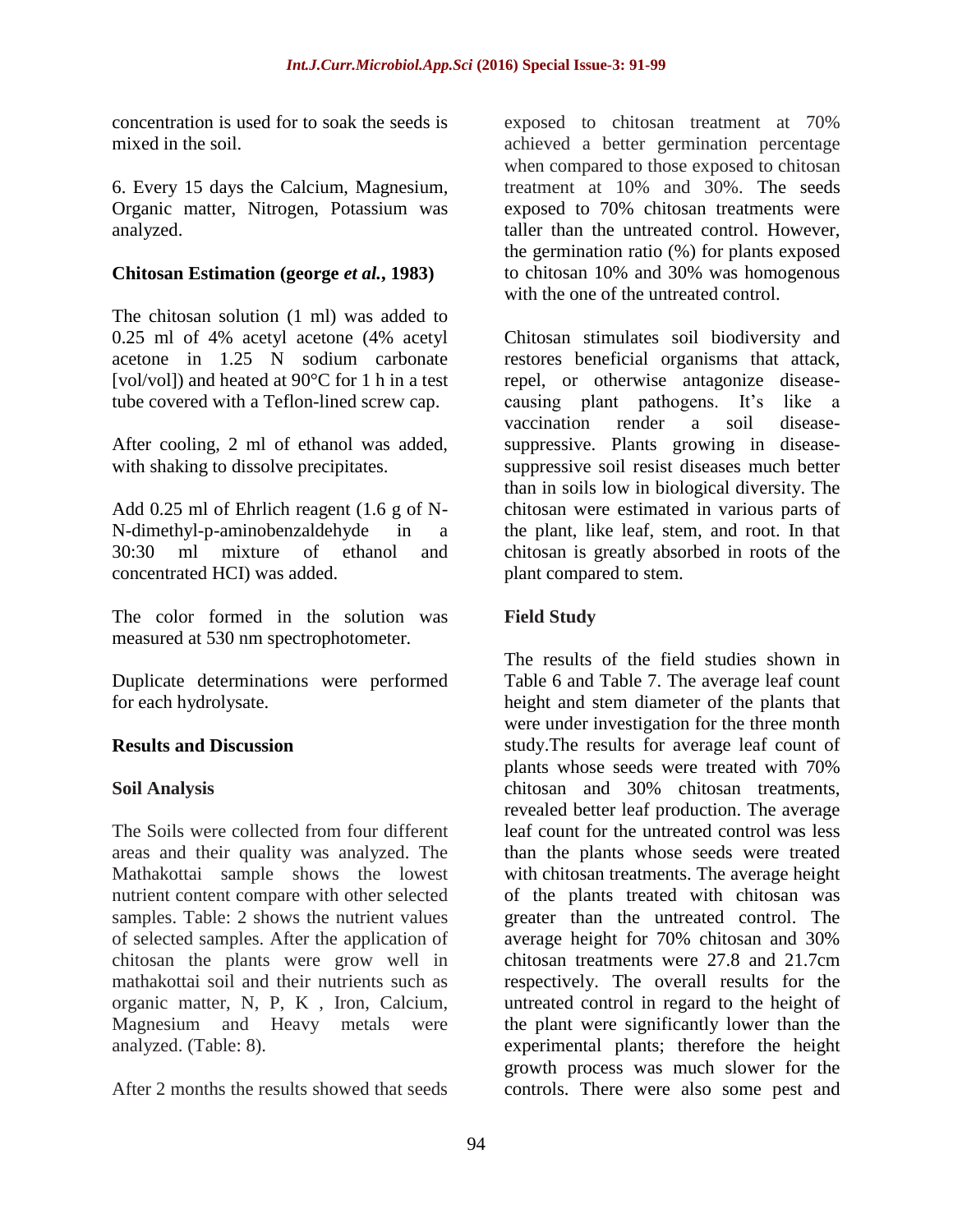concentration is used for to soak the seeds is mixed in the soil.

6. Every 15 days the Calcium, Magnesium, Organic matter, Nitrogen, Potassium was analyzed.

#### **Chitosan Estimation (george** *et al.***, 1983)**

The chitosan solution (1 ml) was added to 0.25 ml of 4% acetyl acetone (4% acetyl acetone in 1.25 N sodium carbonate [vol/vol]) and heated at 90°C for 1 h in a test tube covered with a Teflon-lined screw cap.

After cooling, 2 ml of ethanol was added, with shaking to dissolve precipitates.

Add 0.25 ml of Ehrlich reagent (1.6 g of N-N-dimethyl-p-aminobenzaldehyde in a 30:30 ml mixture of ethanol and concentrated HCI) was added.

The color formed in the solution was measured at 530 nm spectrophotometer.

Duplicate determinations were performed for each hydrolysate.

## **Results and Discussion**

## **Soil Analysis**

The Soils were collected from four different areas and their quality was analyzed. The Mathakottai sample shows the lowest nutrient content compare with other selected samples. Table: 2 shows the nutrient values of selected samples. After the application of chitosan the plants were grow well in mathakottai soil and their nutrients such as organic matter, N, P, K , Iron, Calcium, Magnesium and Heavy metals were analyzed. (Table: 8).

After 2 months the results showed that seeds

exposed to chitosan treatment at 70% achieved a better germination percentage when compared to those exposed to chitosan treatment at 10% and 30%. The seeds exposed to 70% chitosan treatments were taller than the untreated control. However, the germination ratio (%) for plants exposed to chitosan 10% and 30% was homogenous with the one of the untreated control.

Chitosan stimulates soil biodiversity and restores beneficial organisms that attack, repel, or otherwise antagonize diseasecausing plant pathogens. It's like a vaccination render a soil diseasesuppressive. Plants growing in diseasesuppressive soil resist diseases much better than in soils low in biological diversity. The chitosan were estimated in various parts of the plant, like leaf, stem, and root. In that chitosan is greatly absorbed in roots of the plant compared to stem.

# **Field Study**

The results of the field studies shown in Table 6 and Table 7. The average leaf count height and stem diameter of the plants that were under investigation for the three month study.The results for average leaf count of plants whose seeds were treated with 70% chitosan and 30% chitosan treatments, revealed better leaf production. The average leaf count for the untreated control was less than the plants whose seeds were treated with chitosan treatments. The average height of the plants treated with chitosan was greater than the untreated control. The average height for 70% chitosan and 30% chitosan treatments were 27.8 and 21.7cm respectively. The overall results for the untreated control in regard to the height of the plant were significantly lower than the experimental plants; therefore the height growth process was much slower for the controls. There were also some pest and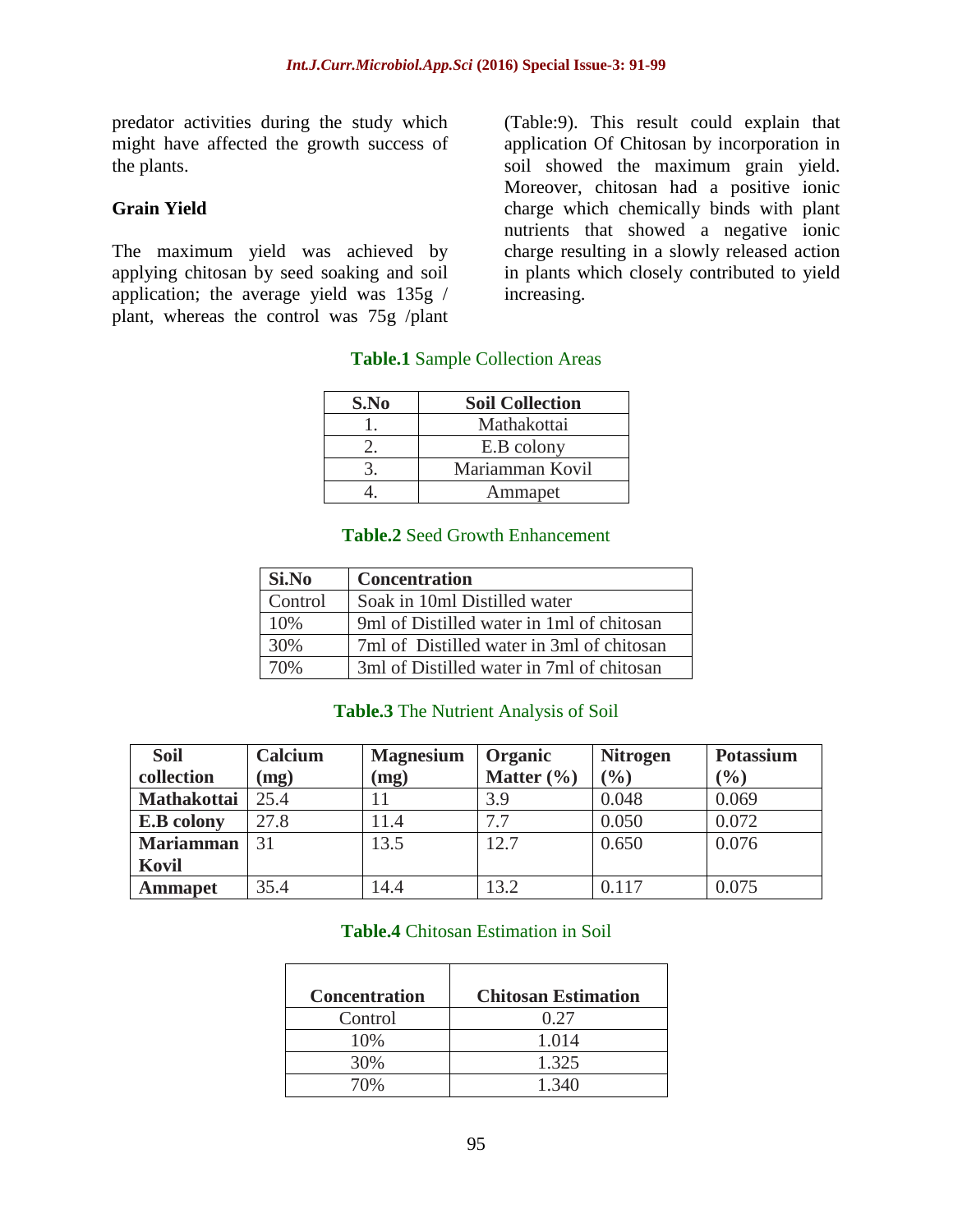predator activities during the study which might have affected the growth success of the plants.

#### **Grain Yield**

The maximum yield was achieved by applying chitosan by seed soaking and soil application; the average yield was 135g / plant, whereas the control was 75g /plant

(Table:9). This result could explain that application Of Chitosan by incorporation in soil showed the maximum grain yield. Moreover, chitosan had a positive ionic charge which chemically binds with plant nutrients that showed a negative ionic charge resulting in a slowly released action in plants which closely contributed to yield increasing.

# **Table.1** Sample Collection Areas

| S.No | <b>Soil Collection</b> |
|------|------------------------|
|      | Mathakottai            |
|      | E.B colony             |
|      | Mariamman Kovil        |
|      | Ammapet                |

#### **Table.2** Seed Growth Enhancement

| Si.No   | <b>Concentration</b>                      |
|---------|-------------------------------------------|
| Control | Soak in 10ml Distilled water              |
| 10%     | 9ml of Distilled water in 1ml of chitosan |
| 30%     | 7ml of Distilled water in 3ml of chitosan |
| 70%     | 3ml of Distilled water in 7ml of chitosan |

#### **Table.3** The Nutrient Analysis of Soil

| <b>Soil</b>        | Calcium | <b>Magnesium</b>      | Organic        | <b>Nitrogen</b> | <b>Potassium</b> |
|--------------------|---------|-----------------------|----------------|-----------------|------------------|
| collection         | (mg)    | (mg)                  | Matter $(\% )$ | (9/0)           | (9/0)            |
| <b>Mathakottai</b> | 25.4    |                       | 3.9            | 0.048           | 0.069            |
| <b>E.B</b> colony  | 27.8    | $\lfloor 1.4 \rfloor$ | 7.7            | 0.050           | 0.072            |
| <b>Mariamman</b>   | 31      | 13.5                  | 12.7           | 0.650           | 0.076            |
| Kovil              |         |                       |                |                 |                  |
| <b>Ammapet</b>     | 35.4    | l 4.4                 | 13.2           | 0.117           | 0.075            |

#### **Table.4** Chitosan Estimation in Soil

| <b>Concentration</b> | <b>Chitosan Estimation</b> |
|----------------------|----------------------------|
| Control              | 0.27                       |
| 10%                  | 1.014                      |
| 30%                  | 1.325                      |
| 70%                  | 1.340                      |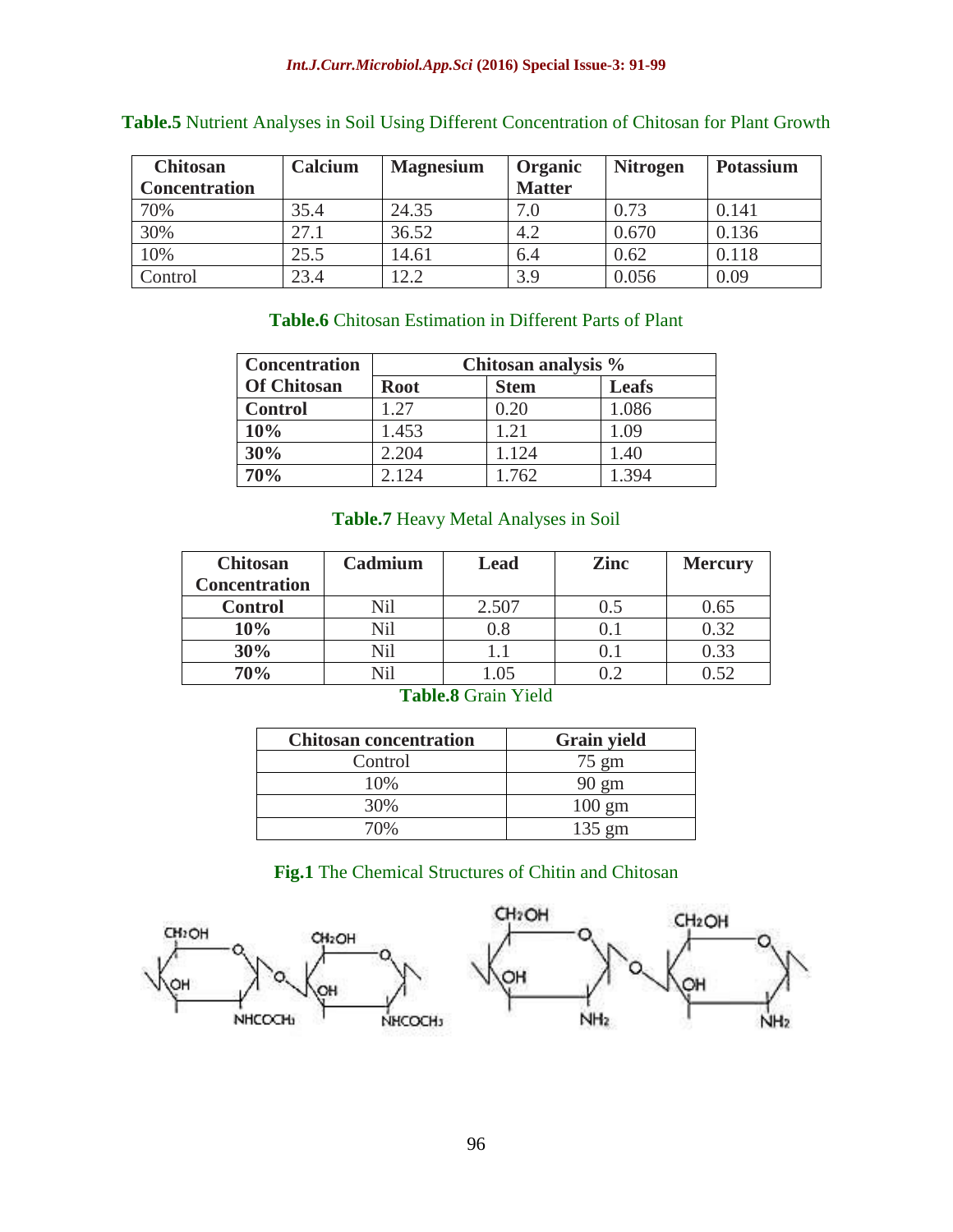| <b>Chitosan</b>      | Calcium | <b>Magnesium</b> | Organic       | <b>Nitrogen</b> | <b>Potassium</b> |
|----------------------|---------|------------------|---------------|-----------------|------------------|
| <b>Concentration</b> |         |                  | <b>Matter</b> |                 |                  |
| 70%                  | 35.4    | 24.35            | 7.0           | 0.73            | 0.141            |
| 30%                  | 27.1    | 36.52            | 4.2           | 0.670           | 0.136            |
| 10%                  | 25.5    | 14.61            | 6.4           | 0.62            | 0.118            |
| Control              | 23.4    | 12.2             | 3.9           | 0.056           | 0.09             |

# **Table.5** Nutrient Analyses in Soil Using Different Concentration of Chitosan for Plant Growth

# **Table.6** Chitosan Estimation in Different Parts of Plant

| <b>Concentration</b> | Chitosan analysis % |             |              |
|----------------------|---------------------|-------------|--------------|
| <b>Of Chitosan</b>   | <b>Root</b>         | <b>Stem</b> | <b>Leafs</b> |
| <b>Control</b>       | 1.27                | 0.20        | 1.086        |
| 10%                  | 1.453               | 1.21        | 1.09         |
| 30%                  | 2.204               | 1.124       | 1.40         |
| 70%                  | 2.124               | 1.762       | 1.394        |

# **Table.7** Heavy Metal Analyses in Soil

| <b>Chitosan</b><br><b>Concentration</b> | Cadmium | Lead  | <b>Zinc</b> | <b>Mercury</b> |
|-----------------------------------------|---------|-------|-------------|----------------|
| <b>Control</b>                          | Nil     | 2.507 | 0.5         | 0.65           |
| 10%                                     | Nil     | 0.8   |             | 0.32           |
| 30%                                     | Vil     | l.l   |             | 0.33           |
| 70%                                     |         |       |             | 1.52           |

#### **Table.8** Grain Yield

| <b>Chitosan concentration</b> | <b>Grain yield</b> |
|-------------------------------|--------------------|
| Control                       | $75 \text{ gm}$    |
| 10%                           | $90 \text{ gm}$    |
| 30%                           | $100 \text{ gm}$   |
| 70%                           | $135 \text{ gm}$   |

## **Fig.1** The Chemical Structures of Chitin and Chitosan

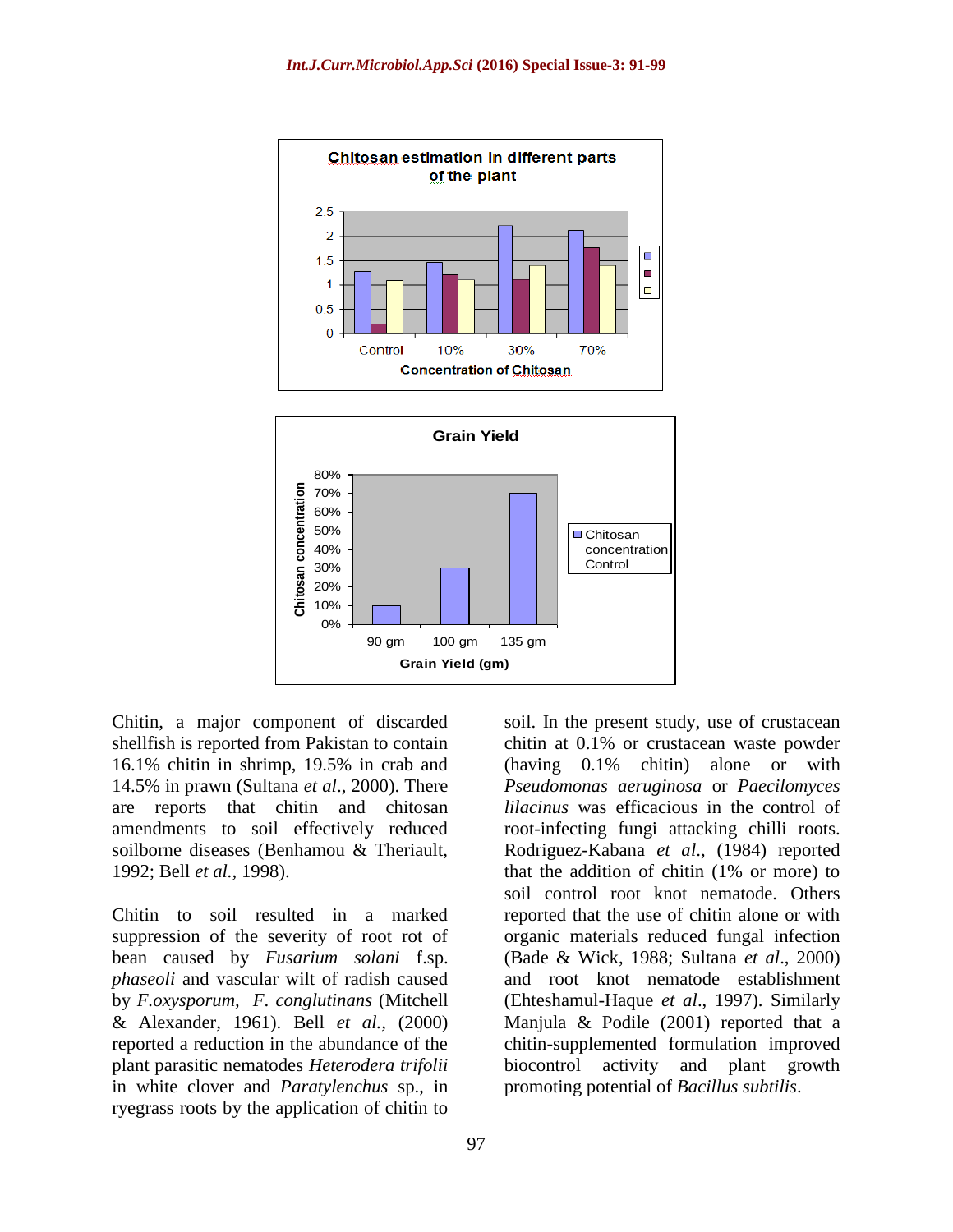



Chitin, a major component of discarded shellfish is reported from Pakistan to contain 16.1% chitin in shrimp, 19.5% in crab and 14.5% in prawn (Sultana *et al*., 2000). There are reports that chitin and chitosan amendments to soil effectively reduced soilborne diseases (Benhamou & Theriault, 1992; Bell *et al.,* 1998).

Chitin to soil resulted in a marked suppression of the severity of root rot of bean caused by *Fusarium solani* f.sp. *phaseoli* and vascular wilt of radish caused by *F.oxysporum, F*. *conglutinans* (Mitchell & Alexander, 1961). Bell *et al.,* (2000) reported a reduction in the abundance of the plant parasitic nematodes *Heterodera trifolii*  in white clover and *Paratylenchus* sp., in ryegrass roots by the application of chitin to

chitin at 0.1% or crustacean waste powder (having 0.1% chitin) alone or with *Pseudomonas aeruginosa* or *Paecilomyces lilacinus* was efficacious in the control of root-infecting fungi attacking chilli roots. Rodriguez-Kabana *et al*., (1984) reported that the addition of chitin (1% or more) to soil control root knot nematode. Others reported that the use of chitin alone or with organic materials reduced fungal infection (Bade & Wick, 1988; Sultana *et al*., 2000) and root knot nematode establishment (Ehteshamul-Haque *et al*., 1997). Similarly Manjula & Podile (2001) reported that a chitin-supplemented formulation improved biocontrol activity and plant growth promoting potential of *Bacillus subtilis*.

soil. In the present study, use of crustacean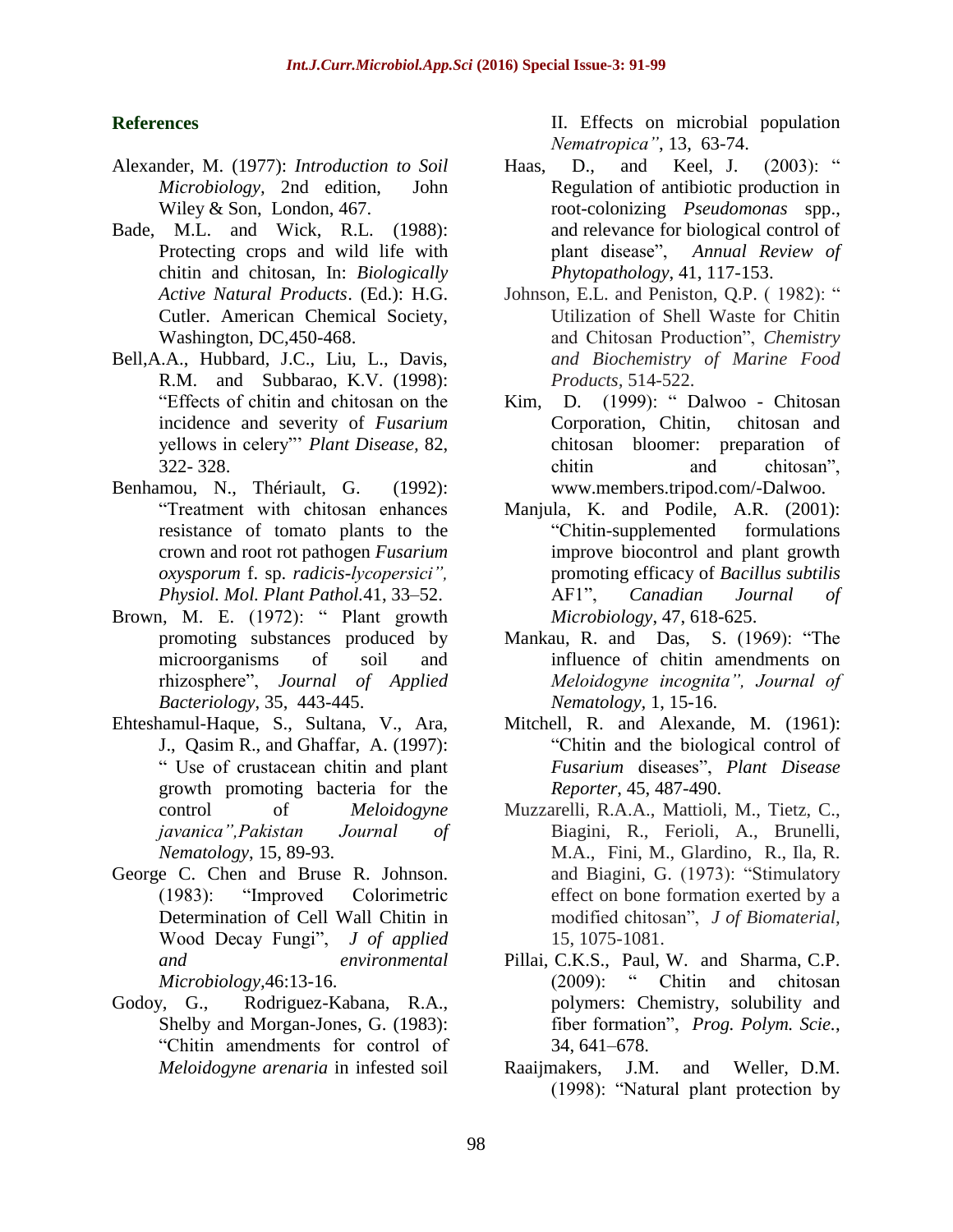#### **References**

- Alexander, M. (1977): *Introduction to Soil Microbiology,* 2nd edition, John Wiley & Son, London, 467.
- Bade, M.L. and Wick, R.L. (1988): Protecting crops and wild life with chitin and chitosan, In: *Biologically Active Natural Products*. (Ed.): H.G. Cutler. American Chemical Society, Washington, DC,450-468.
- Bell,A.A., Hubbard, J.C., Liu, L., Davis, R.M. and Subbarao, K.V. (1998): "Effects of chitin and chitosan on the incidence and severity of *Fusarium*  yellows in celery"' *Plant Disease,* 82, 322- 328.
- Benhamou, N., Thériault, G. (1992): "Treatment with chitosan enhances resistance of tomato plants to the crown and root rot pathogen *Fusarium oxysporum* f. sp. *radicis-lycopersici", Physiol. Mol. Plant Pathol.*41, 33–52.
- Brown, M. E. (1972): " Plant growth promoting substances produced by microorganisms of soil and rhizosphere", *Journal of Applied Bacteriology*, 35, 443-445.
- Ehteshamul-Haque, S., Sultana, V., Ara, J., Qasim R., and Ghaffar, A. (1997): " Use of crustacean chitin and plant growth promoting bacteria for the control of *Meloidogyne javanica",Pakistan Journal of Nematology*, 15, 89-93.
- George C. Chen and Bruse R. Johnson. (1983): "Improved Colorimetric Determination of Cell Wall Chitin in Wood Decay Fungi", *J of applied and environmental Microbiology,*46:13-16.
- Godoy, G., Rodriguez-Kabana, R.A., Shelby and Morgan-Jones, G. (1983): "Chitin amendments for control of *Meloidogyne arenaria* in infested soil

II. Effects on microbial population *Nematropica"*, 13, 63-74.

- Haas, D., and Keel, J. (2003): " Regulation of antibiotic production in root-colonizing *Pseudomonas* spp., and relevance for biological control of plant disease", *Annual Review of Phytopathology*, 41, 117-153.
- Johnson, E.L. and Peniston, Q.P. (1982): " Utilization of Shell Waste for Chitin and Chitosan Production", *Chemistry and Biochemistry of Marine Food Products,* 514-522.
- Kim, D. (1999): " Dalwoo Chitosan Corporation, Chitin, chitosan and chitosan bloomer: preparation of chitin and chitosan", www.members.tripod.com/-Dalwoo.
- Manjula, K. and Podile, A.R. (2001): "Chitin-supplemented formulations improve biocontrol and plant growth promoting efficacy of *Bacillus subtilis*  AF1", *Canadian Journal of Microbiology*, 47, 618-625.
- Mankau, R. and Das, S. (1969): "The influence of chitin amendments on *Meloidogyne incognita", Journal of Nematology,* 1, 15-16.
- Mitchell, R. and Alexande, M. (1961): "Chitin and the biological control of *Fusarium* diseases", *Plant Disease Reporter*, 45, 487-490.
- Muzzarelli, R.A.A., Mattioli, M., Tietz, C., Biagini, R., Ferioli, A., Brunelli, M.A., Fini, M., Glardino, R., Ila, R. and Biagini, G. (1973): "Stimulatory effect on bone formation exerted by a modified chitosan", *J of Biomaterial,*  15, 1075-1081.
- Pillai, C.K.S., Paul, W. and Sharma, C.P. (2009): " Chitin and chitosan polymers: Chemistry, solubility and fiber formation", *Prog. Polym. Scie.*, 34, 641–678.
- Raaijmakers, J.M. and Weller, D.M. (1998): "Natural plant protection by